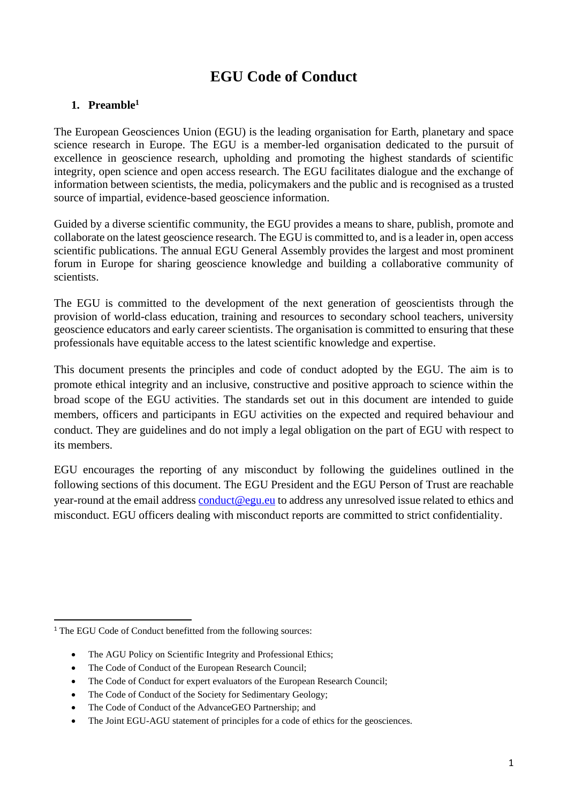# **EGU Code of Conduct**

# **1. Preamble<sup>1</sup>**

The European Geosciences Union (EGU) is the leading organisation for Earth, planetary and space science research in Europe. The EGU is a member-led organisation dedicated to the pursuit of excellence in geoscience research, upholding and promoting the highest standards of scientific integrity, open science and open access research. The EGU facilitates dialogue and the exchange of information between scientists, the media, policymakers and the public and is recognised as a trusted source of impartial, evidence-based geoscience information.

Guided by a diverse scientific community, the EGU provides a means to share, publish, promote and collaborate on the latest geoscience research. The EGU is committed to, and is a leader in, open access scientific publications. The annual EGU General Assembly provides the largest and most prominent forum in Europe for sharing geoscience knowledge and building a collaborative community of scientists.

The EGU is committed to the development of the next generation of geoscientists through the provision of world-class education, training and resources to secondary school teachers, university geoscience educators and early career scientists. The organisation is committed to ensuring that these professionals have equitable access to the latest scientific knowledge and expertise.

This document presents the principles and code of conduct adopted by the EGU. The aim is to promote ethical integrity and an inclusive, constructive and positive approach to science within the broad scope of the EGU activities. The standards set out in this document are intended to guide members, officers and participants in EGU activities on the expected and required behaviour and conduct. They are guidelines and do not imply a legal obligation on the part of EGU with respect to its members.

EGU encourages the reporting of any misconduct by following the guidelines outlined in the following sections of this document. The EGU President and the EGU Person of Trust are reachable year-round at the email address [conduct@egu.eu](mailto:conduct@egu.eu) to address any unresolved issue related to ethics and misconduct. EGU officers dealing with misconduct reports are committed to strict confidentiality.

- The AGU Policy on Scientific Integrity and Professional Ethics;
- The Code of Conduct of the European Research Council:
- The Code of Conduct for expert evaluators of the European Research Council;
- The Code of Conduct of the Society for Sedimentary Geology;
- The Code of Conduct of the AdvanceGEO Partnership; and
- The Joint EGU-AGU statement of principles for a code of ethics for the geosciences.

<sup>&</sup>lt;sup>1</sup> The EGU Code of Conduct benefitted from the following sources: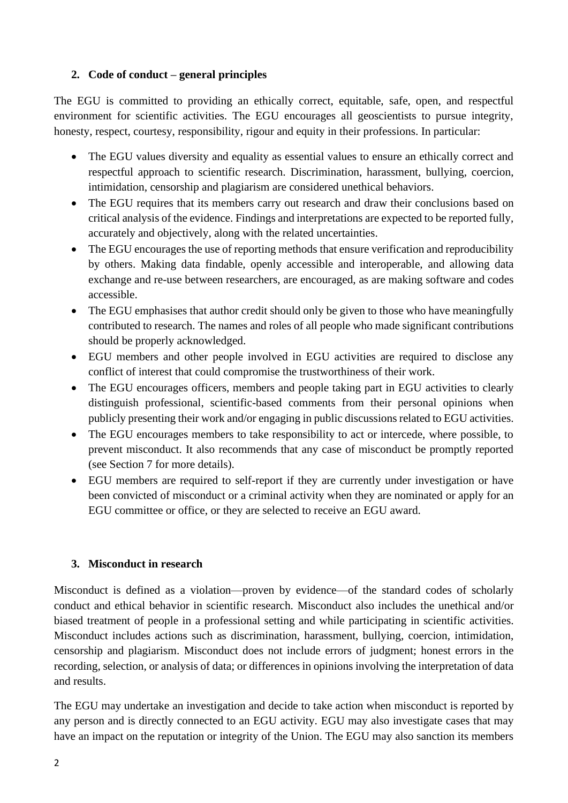## **2. Code of conduct – general principles**

The EGU is committed to providing an ethically correct, equitable, safe, open, and respectful environment for scientific activities. The EGU encourages all geoscientists to pursue integrity, honesty, respect, courtesy, responsibility, rigour and equity in their professions. In particular:

- The EGU values diversity and equality as essential values to ensure an ethically correct and respectful approach to scientific research. Discrimination, harassment, bullying, coercion, intimidation, censorship and plagiarism are considered unethical behaviors.
- The EGU requires that its members carry out research and draw their conclusions based on critical analysis of the evidence. Findings and interpretations are expected to be reported fully, accurately and objectively, along with the related uncertainties.
- The EGU encourages the use of reporting methods that ensure verification and reproducibility by others. Making data findable, openly accessible and interoperable, and allowing data exchange and re-use between researchers, are encouraged, as are making software and codes accessible.
- The EGU emphasises that author credit should only be given to those who have meaningfully contributed to research. The names and roles of all people who made significant contributions should be properly acknowledged.
- EGU members and other people involved in EGU activities are required to disclose any conflict of interest that could compromise the trustworthiness of their work.
- The EGU encourages officers, members and people taking part in EGU activities to clearly distinguish professional, scientific-based comments from their personal opinions when publicly presenting their work and/or engaging in public discussions related to EGU activities.
- The EGU encourages members to take responsibility to act or intercede, where possible, to prevent misconduct. It also recommends that any case of misconduct be promptly reported (see Section 7 for more details).
- EGU members are required to self-report if they are currently under investigation or have been convicted of misconduct or a criminal activity when they are nominated or apply for an EGU committee or office, or they are selected to receive an EGU award.

# **3. Misconduct in research**

Misconduct is defined as a violation—proven by evidence—of the standard codes of scholarly conduct and ethical behavior in scientific research. Misconduct also includes the unethical and/or biased treatment of people in a professional setting and while participating in scientific activities. Misconduct includes actions such as discrimination, harassment, bullying, coercion, intimidation, censorship and plagiarism. Misconduct does not include errors of judgment; honest errors in the recording, selection, or analysis of data; or differences in opinions involving the interpretation of data and results.

The EGU may undertake an investigation and decide to take action when misconduct is reported by any person and is directly connected to an EGU activity. EGU may also investigate cases that may have an impact on the reputation or integrity of the Union. The EGU may also sanction its members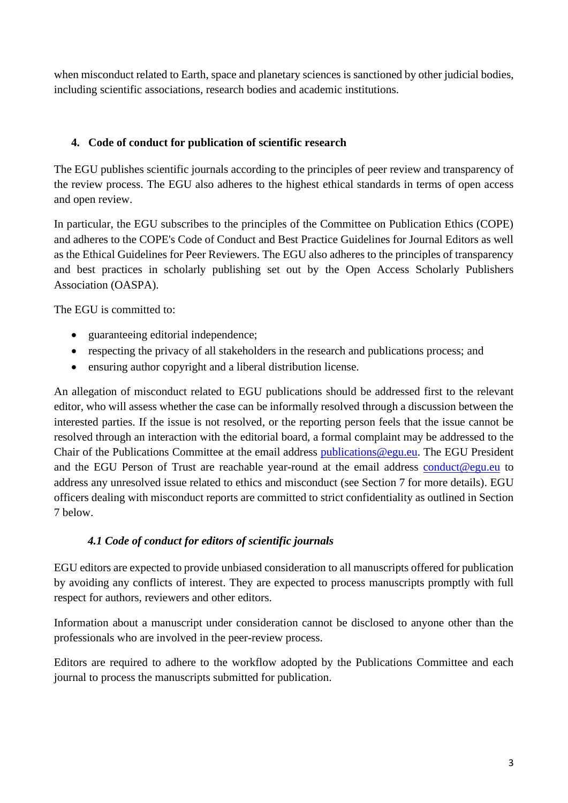when misconduct related to Earth, space and planetary sciences is sanctioned by other judicial bodies, including scientific associations, research bodies and academic institutions.

# **4. Code of conduct for publication of scientific research**

The EGU publishes scientific journals according to the principles of peer review and transparency of the review process. The EGU also adheres to the highest ethical standards in terms of open access and open review.

In particular, the EGU subscribes to the principles of the Committee on Publication Ethics (COPE) and adheres to the COPE's Code of Conduct and Best Practice Guidelines for Journal Editors as well as the Ethical Guidelines for Peer Reviewers. The EGU also adheres to the principles of transparency and best practices in scholarly publishing set out by the Open Access Scholarly Publishers Association (OASPA).

The EGU is committed to:

- guaranteeing editorial independence;
- respecting the privacy of all stakeholders in the research and publications process; and
- ensuring author copyright and a liberal distribution license.

An allegation of misconduct related to EGU publications should be addressed first to the relevant editor, who will assess whether the case can be informally resolved through a discussion between the interested parties. If the issue is not resolved, or the reporting person feels that the issue cannot be resolved through an interaction with the editorial board, a formal complaint may be addressed to the Chair of the Publications Committee at the email address [publications@egu.eu.](mailto:publications@egu.eu) The EGU President and the EGU Person of Trust are reachable year-round at the email address [conduct@egu.eu](mailto:conduct@egu.eu) to address any unresolved issue related to ethics and misconduct (see Section 7 for more details). EGU officers dealing with misconduct reports are committed to strict confidentiality as outlined in Section 7 below.

### *4.1 Code of conduct for editors of scientific journals*

EGU editors are expected to provide unbiased consideration to all manuscripts offered for publication by avoiding any conflicts of interest. They are expected to process manuscripts promptly with full respect for authors, reviewers and other editors.

Information about a manuscript under consideration cannot be disclosed to anyone other than the professionals who are involved in the peer-review process.

Editors are required to adhere to the workflow adopted by the Publications Committee and each journal to process the manuscripts submitted for publication.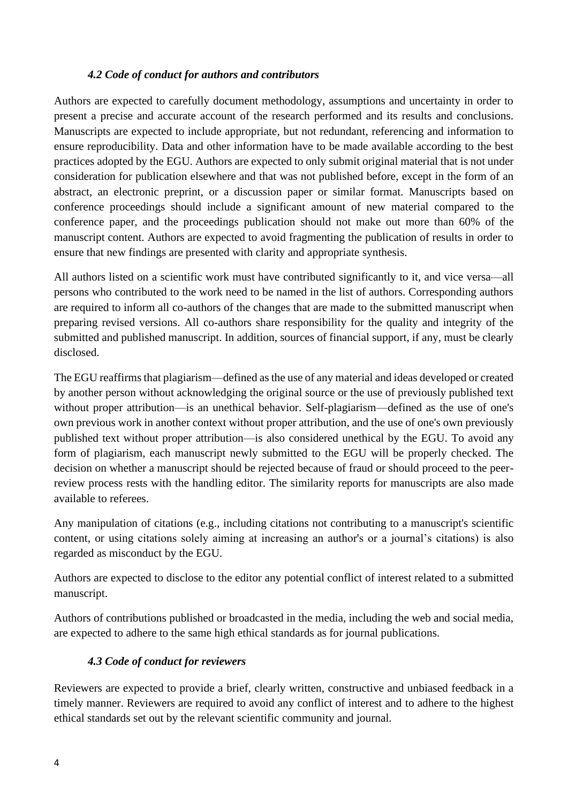#### *4.2 Code of conduct for authors and contributors*

Authors are expected to carefully document methodology, assumptions and uncertainty in order to present a precise and accurate account of the research performed and its results and conclusions. Manuscripts are expected to include appropriate, but not redundant, referencing and information to ensure reproducibility. Data and other information have to be made available according to the best practices adopted by the EGU. Authors are expected to only submit original material that is not under consideration for publication elsewhere and that was not published before, except in the form of an abstract, an electronic preprint, or a discussion paper or similar format. Manuscripts based on conference proceedings should include a significant amount of new material compared to the conference paper, and the proceedings publication should not make out more than 60% of the manuscript content. Authors are expected to avoid fragmenting the publication of results in order to ensure that new findings are presented with clarity and appropriate synthesis.

All authors listed on a scientific work must have contributed significantly to it, and vice versa—all persons who contributed to the work need to be named in the list of authors. Corresponding authors are required to inform all co-authors of the changes that are made to the submitted manuscript when preparing revised versions. All co-authors share responsibility for the quality and integrity of the submitted and published manuscript. In addition, sources of financial support, if any, must be clearly disclosed.

The EGU reaffirms that plagiarism—defined as the use of any material and ideas developed or created by another person without acknowledging the original source or the use of previously published text without proper attribution—is an unethical behavior. Self-plagiarism—defined as the use of one's own previous work in another context without proper attribution, and the use of one's own previously published text without proper attribution—is also considered unethical by the EGU. To avoid any form of plagiarism, each manuscript newly submitted to the EGU will be properly checked. The decision on whether a manuscript should be rejected because of fraud or should proceed to the peerreview process rests with the handling editor. The similarity reports for manuscripts are also made available to referees.

Any manipulation of citations (e.g., including citations not contributing to a manuscript's scientific content, or using citations solely aiming at increasing an author's or a journal's citations) is also regarded as misconduct by the EGU.

Authors are expected to disclose to the editor any potential conflict of interest related to a submitted manuscript.

Authors of contributions published or broadcasted in the media, including the web and social media, are expected to adhere to the same high ethical standards as for journal publications.

#### *4.3 Code of conduct for reviewers*

Reviewers are expected to provide a brief, clearly written, constructive and unbiased feedback in a timely manner. Reviewers are required to avoid any conflict of interest and to adhere to the highest ethical standards set out by the relevant scientific community and journal.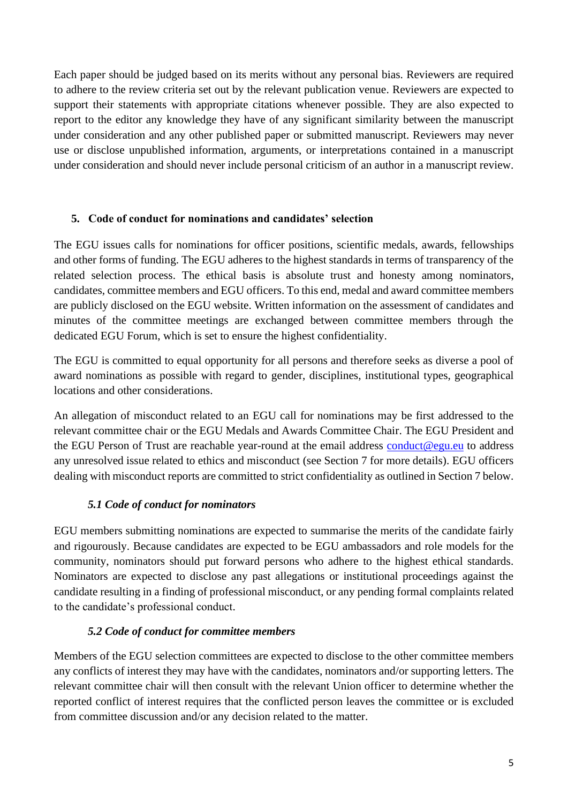Each paper should be judged based on its merits without any personal bias. Reviewers are required to adhere to the review criteria set out by the relevant publication venue. Reviewers are expected to support their statements with appropriate citations whenever possible. They are also expected to report to the editor any knowledge they have of any significant similarity between the manuscript under consideration and any other published paper or submitted manuscript. Reviewers may never use or disclose unpublished information, arguments, or interpretations contained in a manuscript under consideration and should never include personal criticism of an author in a manuscript review.

### **5. Code of conduct for nominations and candidates' selection**

The EGU issues calls for nominations for officer positions, scientific medals, awards, fellowships and other forms of funding. The EGU adheres to the highest standards in terms of transparency of the related selection process. The ethical basis is absolute trust and honesty among nominators, candidates, committee members and EGU officers. To this end, medal and award committee members are publicly disclosed on the EGU website. Written information on the assessment of candidates and minutes of the committee meetings are exchanged between committee members through the dedicated EGU Forum, which is set to ensure the highest confidentiality.

The EGU is committed to equal opportunity for all persons and therefore seeks as diverse a pool of award nominations as possible with regard to gender, disciplines, institutional types, geographical locations and other considerations.

An allegation of misconduct related to an EGU call for nominations may be first addressed to the relevant committee chair or the EGU Medals and Awards Committee Chair. The EGU President and the EGU Person of Trust are reachable year-round at the email address [conduct@egu.eu](mailto:conduct@egu.eu) to address any unresolved issue related to ethics and misconduct (see Section 7 for more details). EGU officers dealing with misconduct reports are committed to strict confidentiality as outlined in Section 7 below.

### *5.1 Code of conduct for nominators*

EGU members submitting nominations are expected to summarise the merits of the candidate fairly and rigourously. Because candidates are expected to be EGU ambassadors and role models for the community, nominators should put forward persons who adhere to the highest ethical standards. Nominators are expected to disclose any past allegations or institutional proceedings against the candidate resulting in a finding of professional misconduct, or any pending formal complaints related to the candidate's professional conduct.

### *5.2 Code of conduct for committee members*

Members of the EGU selection committees are expected to disclose to the other committee members any conflicts of interest they may have with the candidates, nominators and/or supporting letters. The relevant committee chair will then consult with the relevant Union officer to determine whether the reported conflict of interest requires that the conflicted person leaves the committee or is excluded from committee discussion and/or any decision related to the matter.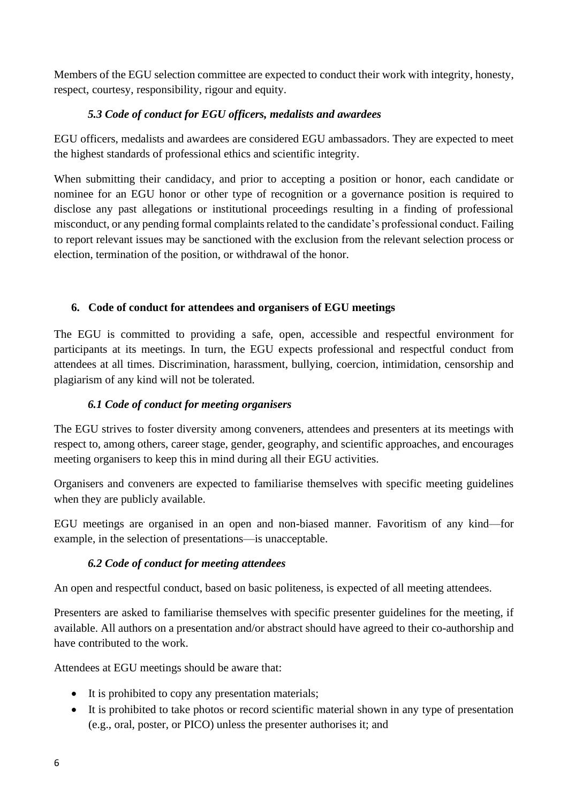Members of the EGU selection committee are expected to conduct their work with integrity, honesty, respect, courtesy, responsibility, rigour and equity.

# *5.3 Code of conduct for EGU officers, medalists and awardees*

EGU officers, medalists and awardees are considered EGU ambassadors. They are expected to meet the highest standards of professional ethics and scientific integrity.

When submitting their candidacy, and prior to accepting a position or honor, each candidate or nominee for an EGU honor or other type of recognition or a governance position is required to disclose any past allegations or institutional proceedings resulting in a finding of professional misconduct, or any pending formal complaints related to the candidate's professional conduct. Failing to report relevant issues may be sanctioned with the exclusion from the relevant selection process or election, termination of the position, or withdrawal of the honor.

### **6. Code of conduct for attendees and organisers of EGU meetings**

The EGU is committed to providing a safe, open, accessible and respectful environment for participants at its meetings. In turn, the EGU expects professional and respectful conduct from attendees at all times. Discrimination, harassment, bullying, coercion, intimidation, censorship and plagiarism of any kind will not be tolerated.

### *6.1 Code of conduct for meeting organisers*

The EGU strives to foster diversity among conveners, attendees and presenters at its meetings with respect to, among others, career stage, gender, geography, and scientific approaches, and encourages meeting organisers to keep this in mind during all their EGU activities.

Organisers and conveners are expected to familiarise themselves with specific meeting guidelines when they are publicly available.

EGU meetings are organised in an open and non-biased manner. Favoritism of any kind—for example, in the selection of presentations—is unacceptable.

#### *6.2 Code of conduct for meeting attendees*

An open and respectful conduct, based on basic politeness, is expected of all meeting attendees.

Presenters are asked to familiarise themselves with specific presenter guidelines for the meeting, if available. All authors on a presentation and/or abstract should have agreed to their co-authorship and have contributed to the work.

Attendees at EGU meetings should be aware that:

- It is prohibited to copy any presentation materials;
- It is prohibited to take photos or record scientific material shown in any type of presentation (e.g., oral, poster, or PICO) unless the presenter authorises it; and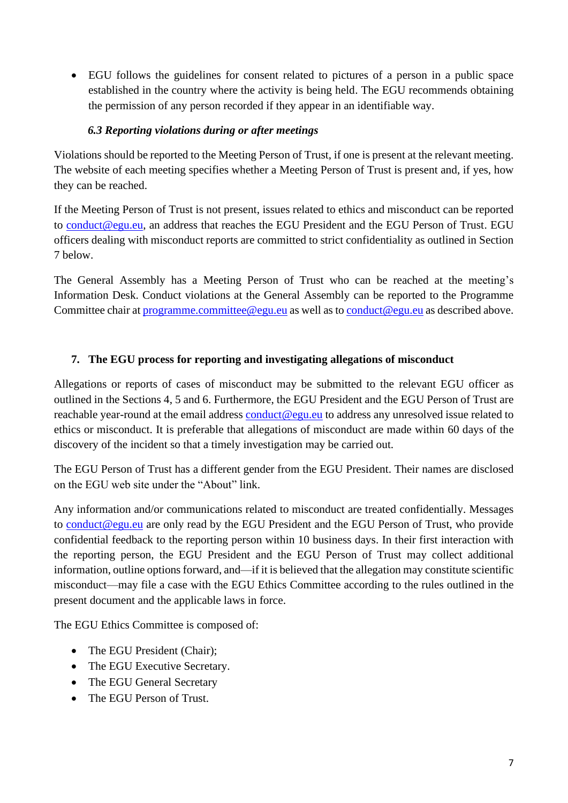• EGU follows the guidelines for consent related to pictures of a person in a public space established in the country where the activity is being held. The EGU recommends obtaining the permission of any person recorded if they appear in an identifiable way.

### *6.3 Reporting violations during or after meetings*

Violations should be reported to the Meeting Person of Trust, if one is present at the relevant meeting. The website of each meeting specifies whether a Meeting Person of Trust is present and, if yes, how they can be reached.

If the Meeting Person of Trust is not present, issues related to ethics and misconduct can be reported to [conduct@egu.eu,](mailto:conduct@egu.eu) an address that reaches the EGU President and the EGU Person of Trust. EGU officers dealing with misconduct reports are committed to strict confidentiality as outlined in Section 7 below.

The General Assembly has a Meeting Person of Trust who can be reached at the meeting's Information Desk. Conduct violations at the General Assembly can be reported to the Programme Committee chair at [programme.committee@egu.eu](mailto:programme.committee@egu.eu) as well as to [conduct@egu.eu](mailto:conduct@egu.eu) as described above.

# **7. The EGU process for reporting and investigating allegations of misconduct**

Allegations or reports of cases of misconduct may be submitted to the relevant EGU officer as outlined in the Sections 4, 5 and 6. Furthermore, the EGU President and the EGU Person of Trust are reachable year-round at the email address [conduct@egu.eu](mailto:conduct@egu.eu) to address any unresolved issue related to ethics or misconduct. It is preferable that allegations of misconduct are made within 60 days of the discovery of the incident so that a timely investigation may be carried out.

The EGU Person of Trust has a different gender from the EGU President. Their names are disclosed on the EGU web site under the "About" link.

Any information and/or communications related to misconduct are treated confidentially. Messages to [conduct@egu.eu](mailto:conduct@egu.eu) are only read by the EGU President and the EGU Person of Trust, who provide confidential feedback to the reporting person within 10 business days. In their first interaction with the reporting person, the EGU President and the EGU Person of Trust may collect additional information, outline options forward, and—if it is believed that the allegation may constitute scientific misconduct—may file a case with the EGU Ethics Committee according to the rules outlined in the present document and the applicable laws in force.

The EGU Ethics Committee is composed of:

- The EGU President (Chair);
- The EGU Executive Secretary.
- The EGU General Secretary
- The EGU Person of Trust.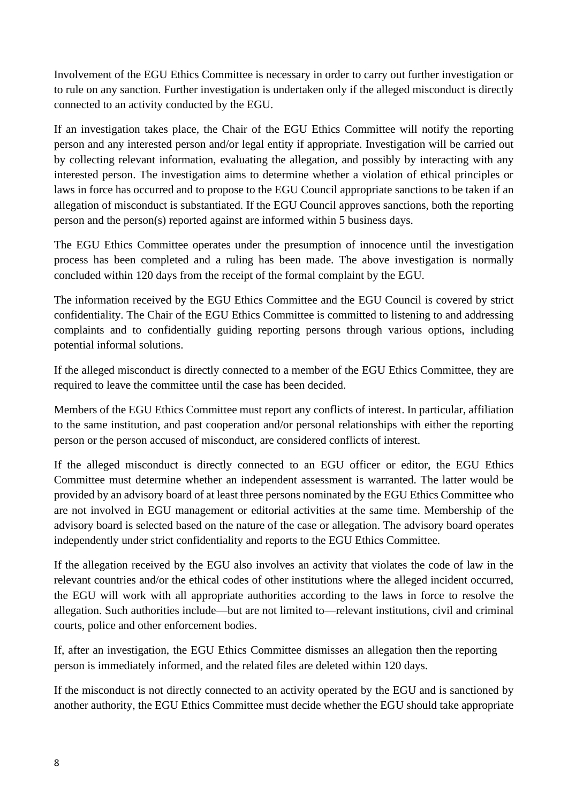connected to an activity conducted by the EGU. to rule on any sanction. Further investigation is undertaken only if the alleged misconduct is directly Involvement of the EGU Ethics Committee is necessary in order to carry out further investigation or

person and the person(s) reported against are informed within 5 business days. allegation of misconduct is substantiated. If the EGU Council approves sanctions, both the reporting laws in force has occurred and to propose to the EGU Council appropriate sanctions to be taken if an interested person. The investigation aims to determine whether a violation of ethical principles or by collecting relevant information, evaluating the allegation, and possibly by interacting with any person and any interested person and/or legal entity if appropriate. Investigation will be carried out If an investigation takes place, the Chair of the EGU Ethics Committee will notify the reporting

concluded within 120 days from the receipt of the formal complaint by the EGU. process has been completed and a ruling has been made. The above investigation is normally The EGU Ethics Committee operates under the presumption of innocence until the investigation

potential informal solutions. complaints and to confidentially guiding reporting persons through various options, including confidentiality. The Chair of the EGU Ethics Committee is committed to listening to and addressing The information received by the EGU Ethics Committee and the EGU Council is covered by strict

required to leave the committee until the case has been decided. If the alleged misconduct is directly connected to a member of the EGU Ethics Committee, they are

person or the person accused of misconduct, are considered conflicts of interest. to the same institution, and past cooperation and/or personal relationships with either the reporting Members of the EGU Ethics Committee must report any conflicts of interest. In particular, affiliation

independently under strict confidentiality and reports to the EGU Ethics Committee. advisory board is selected based on the nature of the case or allegation. The advisory board operates are not involved in EGU management or editorial activities at the same time. Membership of the provided by an advisory board of at least three persons nominated by the EGU Ethics Committee who Committee must determine whether an independent assessment is warranted. The latter would be If the alleged misconduct is directly connected to an EGU officer or editor, the EGU Ethics

courts, police and other enforcement bodies. allegation. Such authorities include—but are not limited to—relevant institutions, civil and criminal the EGU will work with all appropriate authorities according to the laws in force to resolve the relevant countries and/or the ethical codes of other institutions where the alleged incident occurred, If the allegation received by the EGU also involves an activity that violates the code of law in the

person is immediately informed, and the related files are deleted within 120 days. If, after an investigation, the EGU Ethics Committee dismisses an allegation then the reporting

another authority, the EGU Ethics Committee must decide whether the EGU should take appropriate If the misconduct is not directly connected to an activity operated by the EGU and is sanctioned by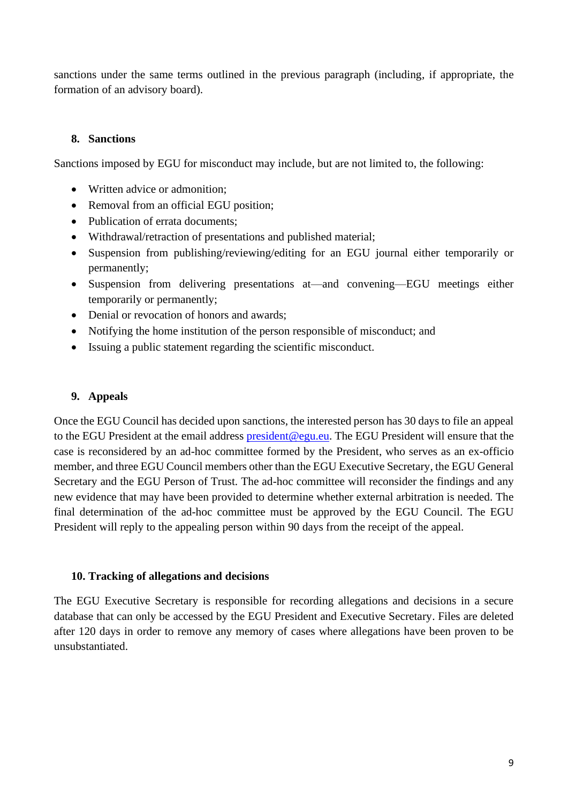sanctions under the same terms outlined in the previous paragraph (including, if appropriate, the formation of an advisory board).

### **8. Sanctions**

Sanctions imposed by EGU for misconduct may include, but are not limited to, the following:

- Written advice or admonition;
- Removal from an official EGU position;
- Publication of errata documents;
- Withdrawal/retraction of presentations and published material;
- Suspension from publishing/reviewing/editing for an EGU journal either temporarily or permanently;
- Suspension from delivering presentations at—and convening—EGU meetings either temporarily or permanently;
- Denial or revocation of honors and awards;
- Notifying the home institution of the person responsible of misconduct; and
- Issuing a public statement regarding the scientific misconduct.

#### **9. Appeals**

Once the EGU Council has decided upon sanctions, the interested person has 30 days to file an appeal to the EGU President at the email address [president@egu.eu.](mailto:president@egu.eu) The EGU President will ensure that the case is reconsidered by an ad-hoc committee formed by the President, who serves as an ex-officio member, and three EGU Council members other than the EGU Executive Secretary, the EGU General Secretary and the EGU Person of Trust. The ad-hoc committee will reconsider the findings and any new evidence that may have been provided to determine whether external arbitration is needed. The final determination of the ad-hoc committee must be approved by the EGU Council. The EGU President will reply to the appealing person within 90 days from the receipt of the appeal.

#### **10. Tracking of allegations and decisions**

The EGU Executive Secretary is responsible for recording allegations and decisions in a secure database that can only be accessed by the EGU President and Executive Secretary. Files are deleted after 120 days in order to remove any memory of cases where allegations have been proven to be unsubstantiated.